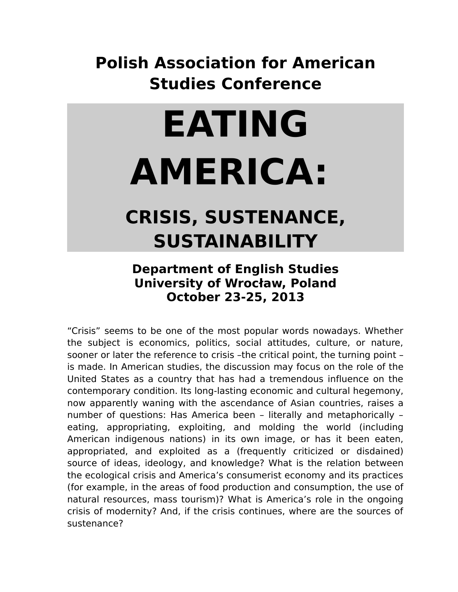## **Polish Association for American Studies Conference**

## **EATING AMERICA:**

## **CRISIS, SUSTENANCE, SUSTAINABILITY**

## **Department of English Studies University of Wrocław, Poland October 23-25, 2013**

"Crisis" seems to be one of the most popular words nowadays. Whether the subject is economics, politics, social attitudes, culture, or nature, sooner or later the reference to crisis -the critical point, the turning point is made. In American studies, the discussion may focus on the role of the United States as a country that has had a tremendous influence on the contemporary condition. Its long-lasting economic and cultural hegemony, now apparently waning with the ascendance of Asian countries, raises a number of questions: Has America been – literally and metaphorically – eating, appropriating, exploiting, and molding the world (including American indigenous nations) in its own image, or has it been eaten, appropriated, and exploited as a (frequently criticized or disdained) source of ideas, ideology, and knowledge? What is the relation between the ecological crisis and America's consumerist economy and its practices (for example, in the areas of food production and consumption, the use of natural resources, mass tourism)? What is America's role in the ongoing crisis of modernity? And, if the crisis continues, where are the sources of sustenance?